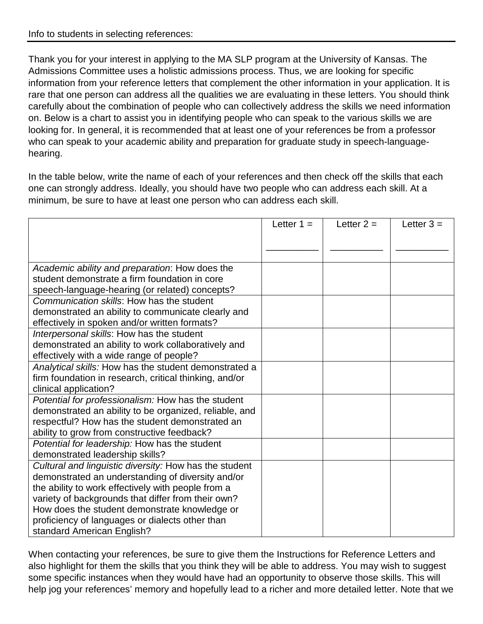Thank you for your interest in applying to the MA SLP program at the University of Kansas. The Admissions Committee uses a holistic admissions process. Thus, we are looking for specific information from your reference letters that complement the other information in your application. It is rare that one person can address all the qualities we are evaluating in these letters. You should think carefully about the combination of people who can collectively address the skills we need information on. Below is a chart to assist you in identifying people who can speak to the various skills we are looking for. In general, it is recommended that at least one of your references be from a professor who can speak to your academic ability and preparation for graduate study in speech-languagehearing.

In the table below, write the name of each of your references and then check off the skills that each one can strongly address. Ideally, you should have two people who can address each skill. At a minimum, be sure to have at least one person who can address each skill.

|                                                        | Letter $1 =$ | Letter $2 =$ | Letter $3 =$ |
|--------------------------------------------------------|--------------|--------------|--------------|
|                                                        |              |              |              |
|                                                        |              |              |              |
|                                                        |              |              |              |
| Academic ability and preparation: How does the         |              |              |              |
| student demonstrate a firm foundation in core          |              |              |              |
| speech-language-hearing (or related) concepts?         |              |              |              |
| Communication skills: How has the student              |              |              |              |
| demonstrated an ability to communicate clearly and     |              |              |              |
| effectively in spoken and/or written formats?          |              |              |              |
| Interpersonal skills: How has the student              |              |              |              |
| demonstrated an ability to work collaboratively and    |              |              |              |
| effectively with a wide range of people?               |              |              |              |
| Analytical skills: How has the student demonstrated a  |              |              |              |
| firm foundation in research, critical thinking, and/or |              |              |              |
| clinical application?                                  |              |              |              |
| Potential for professionalism: How has the student     |              |              |              |
| demonstrated an ability to be organized, reliable, and |              |              |              |
| respectful? How has the student demonstrated an        |              |              |              |
| ability to grow from constructive feedback?            |              |              |              |
| Potential for leadership: How has the student          |              |              |              |
| demonstrated leadership skills?                        |              |              |              |
| Cultural and linguistic diversity: How has the student |              |              |              |
| demonstrated an understanding of diversity and/or      |              |              |              |
| the ability to work effectively with people from a     |              |              |              |
| variety of backgrounds that differ from their own?     |              |              |              |
| How does the student demonstrate knowledge or          |              |              |              |
| proficiency of languages or dialects other than        |              |              |              |
| standard American English?                             |              |              |              |

When contacting your references, be sure to give them the Instructions for Reference Letters and also highlight for them the skills that you think they will be able to address. You may wish to suggest some specific instances when they would have had an opportunity to observe those skills. This will help jog your references' memory and hopefully lead to a richer and more detailed letter. Note that we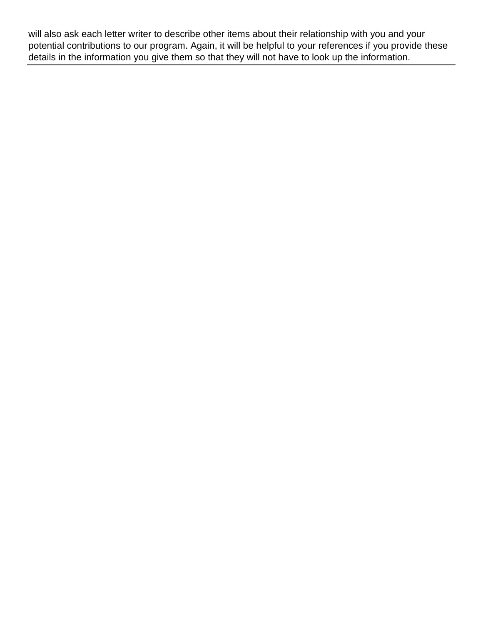will also ask each letter writer to describe other items about their relationship with you and your potential contributions to our program. Again, it will be helpful to your references if you provide these details in the information you give them so that they will not have to look up the information.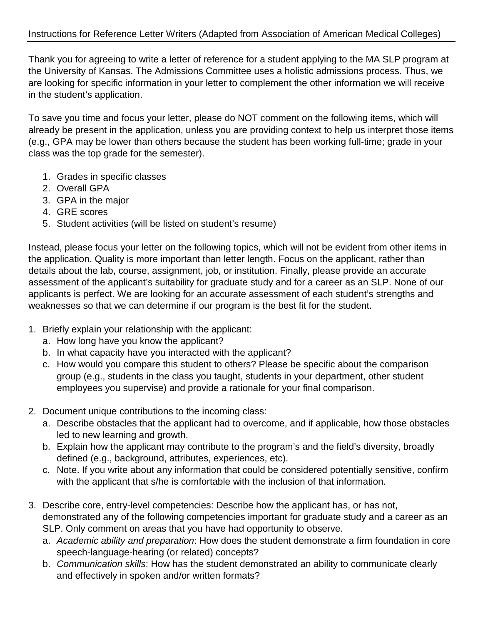Thank you for agreeing to write a letter of reference for a student applying to the MA SLP program at the University of Kansas. The Admissions Committee uses a holistic admissions process. Thus, we are looking for specific information in your letter to complement the other information we will receive in the student's application.

To save you time and focus your letter, please do NOT comment on the following items, which will already be present in the application, unless you are providing context to help us interpret those items (e.g., GPA may be lower than others because the student has been working full-time; grade in your class was the top grade for the semester).

- 1. Grades in specific classes
- 2. Overall GPA
- 3. GPA in the major
- 4. GRE scores
- 5. Student activities (will be listed on student's resume)

Instead, please focus your letter on the following topics, which will not be evident from other items in the application. Quality is more important than letter length. Focus on the applicant, rather than details about the lab, course, assignment, job, or institution. Finally, please provide an accurate assessment of the applicant's suitability for graduate study and for a career as an SLP. None of our applicants is perfect. We are looking for an accurate assessment of each student's strengths and weaknesses so that we can determine if our program is the best fit for the student.

- 1. Briefly explain your relationship with the applicant:
	- a. How long have you know the applicant?
	- b. In what capacity have you interacted with the applicant?
	- c. How would you compare this student to others? Please be specific about the comparison group (e.g., students in the class you taught, students in your department, other student employees you supervise) and provide a rationale for your final comparison.
- 2. Document unique contributions to the incoming class:
	- a. Describe obstacles that the applicant had to overcome, and if applicable, how those obstacles led to new learning and growth.
	- b. Explain how the applicant may contribute to the program's and the field's diversity, broadly defined (e.g., background, attributes, experiences, etc).
	- c. Note. If you write about any information that could be considered potentially sensitive, confirm with the applicant that s/he is comfortable with the inclusion of that information.
- 3. Describe core, entry-level competencies: Describe how the applicant has, or has not, demonstrated any of the following competencies important for graduate study and a career as an SLP. Only comment on areas that you have had opportunity to observe.
	- a. *Academic ability and preparation*: How does the student demonstrate a firm foundation in core speech-language-hearing (or related) concepts?
	- b. *Communication skills*: How has the student demonstrated an ability to communicate clearly and effectively in spoken and/or written formats?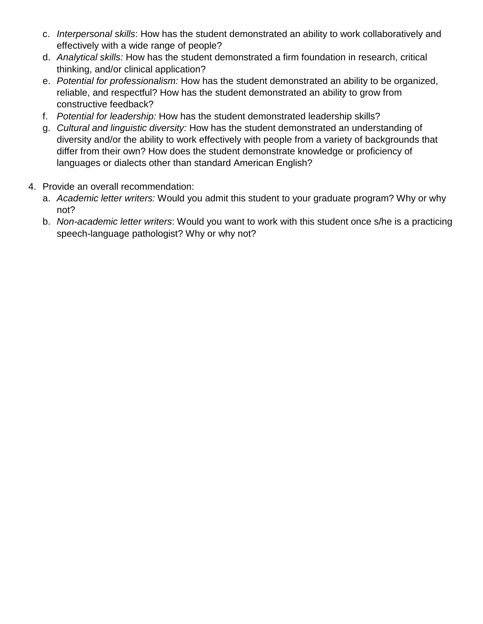- c. *Interpersonal skills*: How has the student demonstrated an ability to work collaboratively and effectively with a wide range of people?
- d. *Analytical skills:* How has the student demonstrated a firm foundation in research, critical thinking, and/or clinical application?
- e. *Potential for professionalism:* How has the student demonstrated an ability to be organized, reliable, and respectful? How has the student demonstrated an ability to grow from constructive feedback?
- f. *Potential for leadership:* How has the student demonstrated leadership skills?
- g. *Cultural and linguistic diversity:* How has the student demonstrated an understanding of diversity and/or the ability to work effectively with people from a variety of backgrounds that differ from their own? How does the student demonstrate knowledge or proficiency of languages or dialects other than standard American English?
- 4. Provide an overall recommendation:
	- a. *Academic letter writers:* Would you admit this student to your graduate program? Why or why not?
	- b. *Non-academic letter writers*: Would you want to work with this student once s/he is a practicing speech-language pathologist? Why or why not?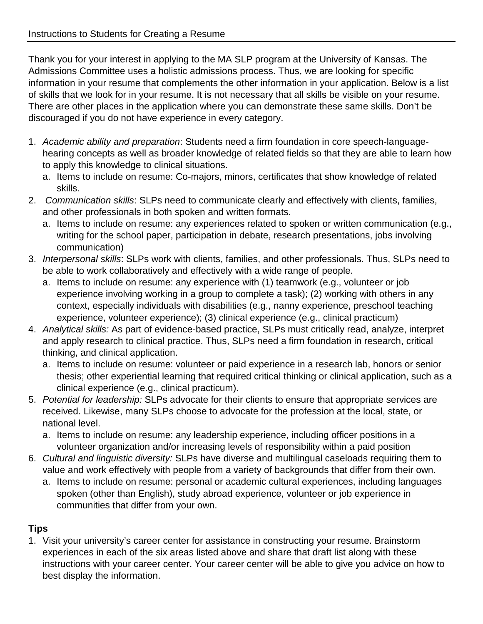Thank you for your interest in applying to the MA SLP program at the University of Kansas. The Admissions Committee uses a holistic admissions process. Thus, we are looking for specific information in your resume that complements the other information in your application. Below is a list of skills that we look for in your resume. It is not necessary that all skills be visible on your resume. There are other places in the application where you can demonstrate these same skills. Don't be discouraged if you do not have experience in every category.

- 1. *Academic ability and preparation*: Students need a firm foundation in core speech-languagehearing concepts as well as broader knowledge of related fields so that they are able to learn how to apply this knowledge to clinical situations.
	- a. Items to include on resume: Co-majors, minors, certificates that show knowledge of related skills.
- 2. *Communication skills*: SLPs need to communicate clearly and effectively with clients, families, and other professionals in both spoken and written formats.
	- a. Items to include on resume: any experiences related to spoken or written communication (e.g., writing for the school paper, participation in debate, research presentations, jobs involving communication)
- 3. *Interpersonal skills*: SLPs work with clients, families, and other professionals. Thus, SLPs need to be able to work collaboratively and effectively with a wide range of people.
	- a. Items to include on resume: any experience with (1) teamwork (e.g., volunteer or job experience involving working in a group to complete a task); (2) working with others in any context, especially individuals with disabilities (e.g., nanny experience, preschool teaching experience, volunteer experience); (3) clinical experience (e.g., clinical practicum)
- 4. *Analytical skills:* As part of evidence-based practice, SLPs must critically read, analyze, interpret and apply research to clinical practice. Thus, SLPs need a firm foundation in research, critical thinking, and clinical application.
	- a. Items to include on resume: volunteer or paid experience in a research lab, honors or senior thesis; other experiential learning that required critical thinking or clinical application, such as a clinical experience (e.g., clinical practicum).
- 5. *Potential for leadership:* SLPs advocate for their clients to ensure that appropriate services are received. Likewise, many SLPs choose to advocate for the profession at the local, state, or national level.
	- a. Items to include on resume: any leadership experience, including officer positions in a volunteer organization and/or increasing levels of responsibility within a paid position
- 6. *Cultural and linguistic diversity:* SLPs have diverse and multilingual caseloads requiring them to value and work effectively with people from a variety of backgrounds that differ from their own.
	- a. Items to include on resume: personal or academic cultural experiences, including languages spoken (other than English), study abroad experience, volunteer or job experience in communities that differ from your own.

## **Tips**

1. Visit your university's career center for assistance in constructing your resume. Brainstorm experiences in each of the six areas listed above and share that draft list along with these instructions with your career center. Your career center will be able to give you advice on how to best display the information.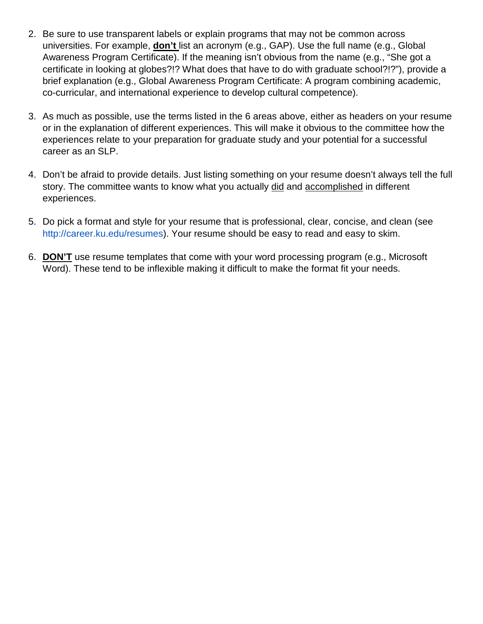- 2. Be sure to use transparent labels or explain programs that may not be common across universities. For example, **don't** list an acronym (e.g., GAP). Use the full name (e.g., Global Awareness Program Certificate). If the meaning isn't obvious from the name (e.g., "She got a certificate in looking at globes?!? What does that have to do with graduate school?!?"), provide a brief explanation (e.g., Global Awareness Program Certificate: A program combining academic, co-curricular, and international experience to develop cultural competence).
- 3. As much as possible, use the terms listed in the 6 areas above, either as headers on your resume or in the explanation of different experiences. This will make it obvious to the committee how the experiences relate to your preparation for graduate study and your potential for a successful career as an SLP.
- 4. Don't be afraid to provide details. Just listing something on your resume doesn't always tell the full story. The committee wants to know what you actually did and accomplished in different experiences.
- 5. Do pick a format and style for your resume that is professional, clear, concise, and clean (see [http://career.ku.edu/resumes\)](http://career.ku.edu/resumes). Your resume should be easy to read and easy to skim.
- 6. **DON'T** use resume templates that come with your word processing program (e.g., Microsoft Word). These tend to be inflexible making it difficult to make the format fit your needs.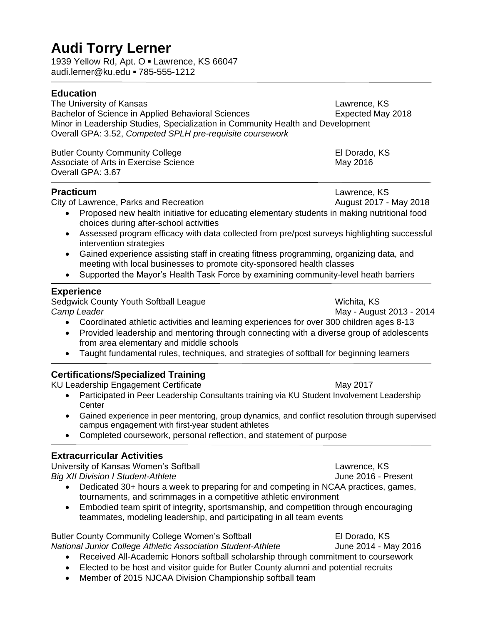# **Audi Torry Lerner**

1939 Yellow Rd, Apt. O **▪** Lawrence, KS 66047 audi.lerner@ku.edu **▪** 785-555-1212

#### **Education**

The University of Kansas<br>
Bachelor of Science in Applied Behavioral Sciences<br>
Lawrence, KS<br>
Expected May 2018 Bachelor of Science in Applied Behavioral Sciences Minor in Leadership Studies, Specialization in Community Health and Development Overall GPA: 3.52, *Competed SPLH pre-requisite coursework*

Butler County Community College **El Dorado, KS** Associate of Arts in Exercise Science May 2016 Overall GPA: 3.67

City of Lawrence, Parks and Recreation **August 2017** - May 2018

**Practicum Lawrence, KS** 

- Proposed new health initiative for educating elementary students in making nutritional food choices during after-school activities
- Assessed program efficacy with data collected from pre/post surveys highlighting successful intervention strategies
- Gained experience assisting staff in creating fitness programming, organizing data, and meeting with local businesses to promote city-sponsored health classes
- Supported the Mayor's Health Task Force by examining community-level heath barriers

#### **Experience**

Sedgwick County Youth Softball League Wichita, KS **Camp Leader** May - August 2013 - 2014

- Coordinated athletic activities and learning experiences for over 300 children ages 8-13
- Provided leadership and mentoring through connecting with a diverse group of adolescents from area elementary and middle schools
- Taught fundamental rules, techniques, and strategies of softball for beginning learners

#### **Certifications/Specialized Training**

KU Leadership Engagement Certificate May 2017

- Participated in Peer Leadership Consultants training via KU Student Involvement Leadership **Center**
- Gained experience in peer mentoring, group dynamics, and conflict resolution through supervised campus engagement with first-year student athletes
- Completed coursework, personal reflection, and statement of purpose

#### **Extracurricular Activities**

University of Kansas Women's Softball **Lawrence, KS** *Big XII Division I Student-Athlete* And All Andreas And All Andreas June 2016 - Present

- Dedicated 30+ hours a week to preparing for and competing in NCAA practices, games, tournaments, and scrimmages in a competitive athletic environment
- Embodied team spirit of integrity, sportsmanship, and competition through encouraging teammates, modeling leadership, and participating in all team events

Butler County Community College Women's Softball **El Dorado, KS** *National Junior College Athletic Association Student-Athlete* June 2014 - May 2016 Received All-Academic Honors softball scholarship through commitment to coursework

- Elected to be host and visitor guide for Butler County alumni and potential recruits
- Member of 2015 NJCAA Division Championship softball team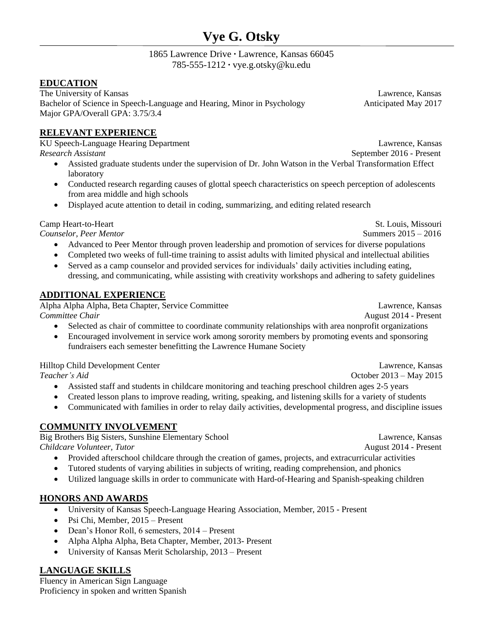## **Vye G. Otsky**

#### 1865 Lawrence Drive **∙** Lawrence, Kansas 66045 785-555-1212 **∙** [vye.g.otsky@ku.edu](mailto:vy.g.otsky@ku.edu)

#### **EDUCATION**

The University of Kansas Lawrence, Kansas Bachelor of Science in Speech-Language and Hearing, Minor in Psychology Anticipated May 2017 Major GPA/Overall GPA: 3.75/3.4

#### **RELEVANT EXPERIENCE**

KU Speech-Language Hearing Department Lawrence, Kansas **Research Assistant** September 2016 - Present

- Assisted graduate students under the supervision of Dr. John Watson in the Verbal Transformation Effect laboratory
- Conducted research regarding causes of glottal speech characteristics on speech perception of adolescents from area middle and high schools
- Displayed acute attention to detail in coding, summarizing, and editing related research

Camp Heart-to-Heart St. Louis, Missouring the St. Louis, Missouring the St. Louis, Missouring the St. Louis, Missouring the St. Louis, Missouring the St. Louis, Missouring the St. Louis, Missouring the St. Louis, Missourin

*Counselor, Peer Mentor* Summers 2015 – 2016

- Advanced to Peer Mentor through proven leadership and promotion of services for diverse populations
- Completed two weeks of full-time training to assist adults with limited physical and intellectual abilities
- Served as a camp counselor and provided services for individuals' daily activities including eating, dressing, and communicating, while assisting with creativity workshops and adhering to safety guidelines

#### **ADDITIONAL EXPERIENCE**

Alpha Alpha Alpha, Beta Chapter, Service Committee Lawrence, Kansas *Committee Chair* **August 2014 - Present** 

- Selected as chair of committee to coordinate community relationships with area nonprofit organizations
- Encouraged involvement in service work among sorority members by promoting events and sponsoring fundraisers each semester benefitting the Lawrence Humane Society

Hilltop Child Development Center Lawrence, Kansas

**Teacher's Aid Contract Contract Contract Contract Contract Contract Contract Contract Contract Contract Contract Contract Contract Contract Contract Contract Contract Contract Contract Contract Contract Contract Contrac** 

- Assisted staff and students in childcare monitoring and teaching preschool children ages 2-5 years
- Created lesson plans to improve reading, writing, speaking, and listening skills for a variety of students
- Communicated with families in order to relay daily activities, developmental progress, and discipline issues

#### **COMMUNITY INVOLVEMENT**

Big Brothers Big Sisters, Sunshine Elementary School Lawrence, Kansas *Childcare Volunteer, Tutor* August 2014 - Present

- Provided afterschool childcare through the creation of games, projects, and extracurricular activities
- Tutored students of varying abilities in subjects of writing, reading comprehension, and phonics
- Utilized language skills in order to communicate with Hard-of-Hearing and Spanish-speaking children

#### **HONORS AND AWARDS**

- University of Kansas Speech-Language Hearing Association, Member, 2015 Present
- Psi Chi, Member, 2015 Present
- Dean's Honor Roll, 6 semesters, 2014 Present
- Alpha Alpha Alpha, Beta Chapter, Member, 2013- Present
- University of Kansas Merit Scholarship, 2013 Present

#### **LANGUAGE SKILLS**

Fluency in American Sign Language Proficiency in spoken and written Spanish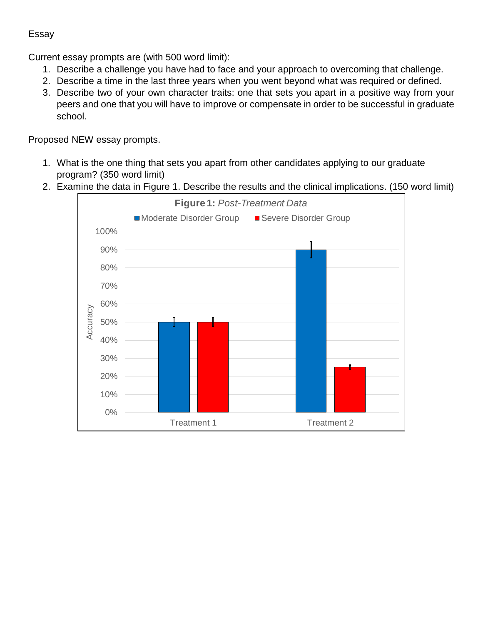#### Essay

Current essay prompts are (with 500 word limit):

- 1. Describe a challenge you have had to face and your approach to overcoming that challenge.
- 2. Describe a time in the last three years when you went beyond what was required or defined.
- 3. Describe two of your own character traits: one that sets you apart in a positive way from your peers and one that you will have to improve or compensate in order to be successful in graduate school.

Proposed NEW essay prompts.

- 1. What is the one thing that sets you apart from other candidates applying to our graduate program? (350 word limit)
- 2. Examine the data in Figure 1. Describe the results and the clinical implications. (150 word limit)

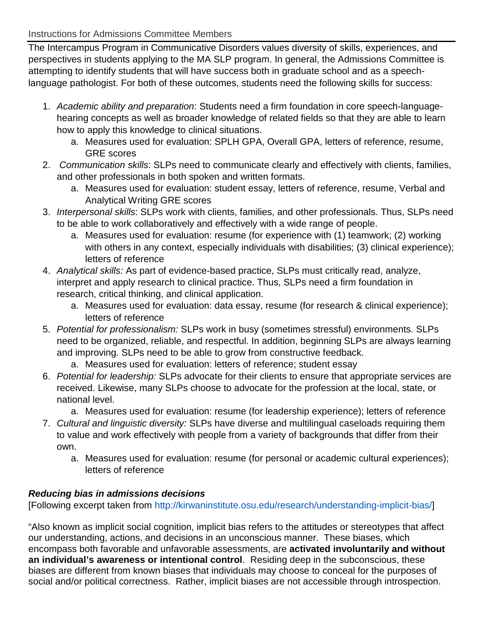#### Instructions for Admissions Committee Members

The Intercampus Program in Communicative Disorders values diversity of skills, experiences, and perspectives in students applying to the MA SLP program. In general, the Admissions Committee is attempting to identify students that will have success both in graduate school and as a speechlanguage pathologist. For both of these outcomes, students need the following skills for success:

- 1. *Academic ability and preparation*: Students need a firm foundation in core speech-languagehearing concepts as well as broader knowledge of related fields so that they are able to learn how to apply this knowledge to clinical situations.
	- a. Measures used for evaluation: SPLH GPA, Overall GPA, letters of reference, resume, GRE scores
- 2. *Communication skills*: SLPs need to communicate clearly and effectively with clients, families, and other professionals in both spoken and written formats.
	- a. Measures used for evaluation: student essay, letters of reference, resume, Verbal and Analytical Writing GRE scores
- 3. *Interpersonal skills*: SLPs work with clients, families, and other professionals. Thus, SLPs need to be able to work collaboratively and effectively with a wide range of people.
	- a. Measures used for evaluation: resume (for experience with (1) teamwork; (2) working with others in any context, especially individuals with disabilities; (3) clinical experience); letters of reference
- 4. *Analytical skills:* As part of evidence-based practice, SLPs must critically read, analyze, interpret and apply research to clinical practice. Thus, SLPs need a firm foundation in research, critical thinking, and clinical application.
	- a. Measures used for evaluation: data essay, resume (for research & clinical experience); letters of reference
- 5. *Potential for professionalism:* SLPs work in busy (sometimes stressful) environments. SLPs need to be organized, reliable, and respectful. In addition, beginning SLPs are always learning and improving. SLPs need to be able to grow from constructive feedback.
	- a. Measures used for evaluation: letters of reference; student essay
- 6. *Potential for leadership:* SLPs advocate for their clients to ensure that appropriate services are received. Likewise, many SLPs choose to advocate for the profession at the local, state, or national level.
	- a. Measures used for evaluation: resume (for leadership experience); letters of reference
- 7. *Cultural and linguistic diversity:* SLPs have diverse and multilingual caseloads requiring them to value and work effectively with people from a variety of backgrounds that differ from their own.
	- a. Measures used for evaluation: resume (for personal or academic cultural experiences); letters of reference

### *Reducing bias in admissions decisions*

[Following excerpt taken from [http://kirwaninstitute.osu.edu/research/understanding-implicit-bias/\]](http://kirwaninstitute.osu.edu/research/understanding-implicit-bias/)

"Also known as implicit social cognition, implicit bias refers to the attitudes or stereotypes that affect our understanding, actions, and decisions in an unconscious manner. These biases, which encompass both favorable and unfavorable assessments, are **activated involuntarily and without an individual's awareness or intentional control**. Residing deep in the subconscious, these biases are different from known biases that individuals may choose to conceal for the purposes of social and/or political correctness. Rather, implicit biases are not accessible through introspection.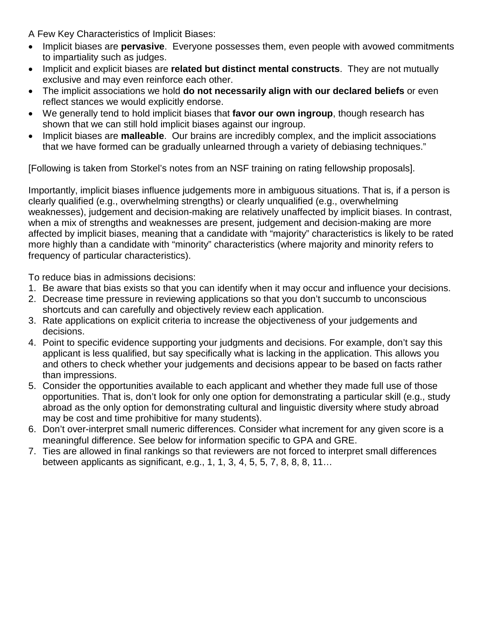A Few Key Characteristics of Implicit Biases:

- Implicit biases are **pervasive**. Everyone possesses them, even people with avowed commitments to impartiality such as judges.
- Implicit and explicit biases are **related but distinct mental constructs**. They are not mutually exclusive and may even reinforce each other.
- The implicit associations we hold **do not necessarily align with our declared beliefs** or even reflect stances we would explicitly endorse.
- We generally tend to hold implicit biases that **favor our own ingroup**, though research has shown that we can still hold implicit biases against our ingroup.
- Implicit biases are **malleable**. Our brains are incredibly complex, and the implicit associations that we have formed can be gradually unlearned through a variety of debiasing techniques."

[Following is taken from Storkel's notes from an NSF training on rating fellowship proposals].

Importantly, implicit biases influence judgements more in ambiguous situations. That is, if a person is clearly qualified (e.g., overwhelming strengths) or clearly unqualified (e.g., overwhelming weaknesses), judgement and decision-making are relatively unaffected by implicit biases. In contrast, when a mix of strengths and weaknesses are present, judgement and decision-making are more affected by implicit biases, meaning that a candidate with "majority" characteristics is likely to be rated more highly than a candidate with "minority" characteristics (where majority and minority refers to frequency of particular characteristics).

To reduce bias in admissions decisions:

- 1. Be aware that bias exists so that you can identify when it may occur and influence your decisions.
- 2. Decrease time pressure in reviewing applications so that you don't succumb to unconscious shortcuts and can carefully and objectively review each application.
- 3. Rate applications on explicit criteria to increase the objectiveness of your judgements and decisions.
- 4. Point to specific evidence supporting your judgments and decisions. For example, don't say this applicant is less qualified, but say specifically what is lacking in the application. This allows you and others to check whether your judgements and decisions appear to be based on facts rather than impressions.
- 5. Consider the opportunities available to each applicant and whether they made full use of those opportunities. That is, don't look for only one option for demonstrating a particular skill (e.g., study abroad as the only option for demonstrating cultural and linguistic diversity where study abroad may be cost and time prohibitive for many students).
- 6. Don't over-interpret small numeric differences. Consider what increment for any given score is a meaningful difference. See below for information specific to GPA and GRE.
- 7. Ties are allowed in final rankings so that reviewers are not forced to interpret small differences between applicants as significant, e.g., 1, 1, 3, 4, 5, 5, 7, 8, 8, 8, 11…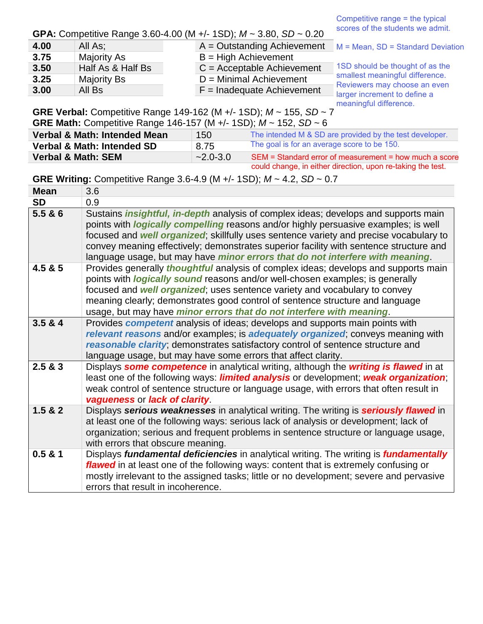Competitive range = the typical scores of the students we admit.

#### **GPA:** Competitive Range 3.60-4.00 (M +/- 1SD); *M* ~ 3.80, *SD* ~ 0.20

| 4.00 | All As:           | $A =$ Outstanding Achievement | $M = Mean$ , SD = Standard Deviation                                                                                               |
|------|-------------------|-------------------------------|------------------------------------------------------------------------------------------------------------------------------------|
| 3.75 | Majority As       | $B = High$ Achievement        |                                                                                                                                    |
| 3.50 | Half As & Half Bs | $C =$ Acceptable Achievement  | 1SD should be thought of as the<br>smallest meaningful difference.<br>Reviewers may choose an even<br>larger increment to define a |
| 3.25 | Majority Bs       | $D =$ Minimal Achievement     |                                                                                                                                    |
| 3.00 | All Bs            | $F =$ Inadequate Achievement  |                                                                                                                                    |
|      |                   |                               |                                                                                                                                    |

**GRE Verbal:** Competitive Range 149-162 (M +/- 1SD); *M* ~ 155, *SD* ~ 7 meaningful difference.

| <b>GRE Math:</b> Competitive Range 146-157 (M +/- 1SD); $M \sim 152$ , SD $\sim 6$ |              |                                                             |  |  |
|------------------------------------------------------------------------------------|--------------|-------------------------------------------------------------|--|--|
| Verbal & Math: Intended Mean                                                       | 150          | The intended M & SD are provided by the test developer.     |  |  |
| Verbal & Math: Intended SD                                                         | 8.75         | The goal is for an average score to be 150.                 |  |  |
| <b>Verbal &amp; Math: SEM</b>                                                      | $-2.0 - 3.0$ | SEM = Standard error of measurement = how much a score      |  |  |
|                                                                                    |              | could change, in either direction, upon re-taking the test. |  |  |

**GRE Writing:** Competitive Range 3.6-4.9 (M +/- 1SD); *M* ~ 4.2, *SD* ~ 0.7

| <b>Mean</b> | 3.6                                                                                                                                                                                                                                                                                                                                                                                                                                                                   |
|-------------|-----------------------------------------------------------------------------------------------------------------------------------------------------------------------------------------------------------------------------------------------------------------------------------------------------------------------------------------------------------------------------------------------------------------------------------------------------------------------|
| <b>SD</b>   | 0.9                                                                                                                                                                                                                                                                                                                                                                                                                                                                   |
| 5.5 & 86    | Sustains <i>insightful, in-depth</i> analysis of complex ideas; develops and supports main<br>points with <i>logically compelling</i> reasons and/or highly persuasive examples; is well<br>focused and <b>well organized</b> ; skillfully uses sentence variety and precise vocabulary to<br>convey meaning effectively; demonstrates superior facility with sentence structure and<br>language usage, but may have minor errors that do not interfere with meaning. |
| 4.5 & 8.5   | Provides generally <i>thoughtful</i> analysis of complex ideas; develops and supports main<br>points with <i>logically sound</i> reasons and/or well-chosen examples; is generally<br>focused and <b>well organized</b> ; uses sentence variety and vocabulary to convey<br>meaning clearly; demonstrates good control of sentence structure and language<br>usage, but may have <i>minor errors that do not interfere with meaning</i> .                             |
| 3.5 & 4     | Provides <b>competent</b> analysis of ideas; develops and supports main points with<br>relevant reasons and/or examples; is adequately organized, conveys meaning with<br>reasonable clarity; demonstrates satisfactory control of sentence structure and<br>language usage, but may have some errors that affect clarity.                                                                                                                                            |
| 2.5 & 8.3   | Displays some competence in analytical writing, although the writing is flawed in at<br>least one of the following ways: <i>limited analysis</i> or development; weak organization;<br>weak control of sentence structure or language usage, with errors that often result in<br>vagueness or lack of clarity.                                                                                                                                                        |
| 1.5 & 2     | Displays serious weaknesses in analytical writing. The writing is seriously flawed in<br>at least one of the following ways: serious lack of analysis or development; lack of<br>organization; serious and frequent problems in sentence structure or language usage,<br>with errors that obscure meaning.                                                                                                                                                            |
| 0.5 & 1     | Displays fundamental deficiencies in analytical writing. The writing is fundamentally<br>flawed in at least one of the following ways: content that is extremely confusing or<br>mostly irrelevant to the assigned tasks; little or no development; severe and pervasive<br>errors that result in incoherence.                                                                                                                                                        |